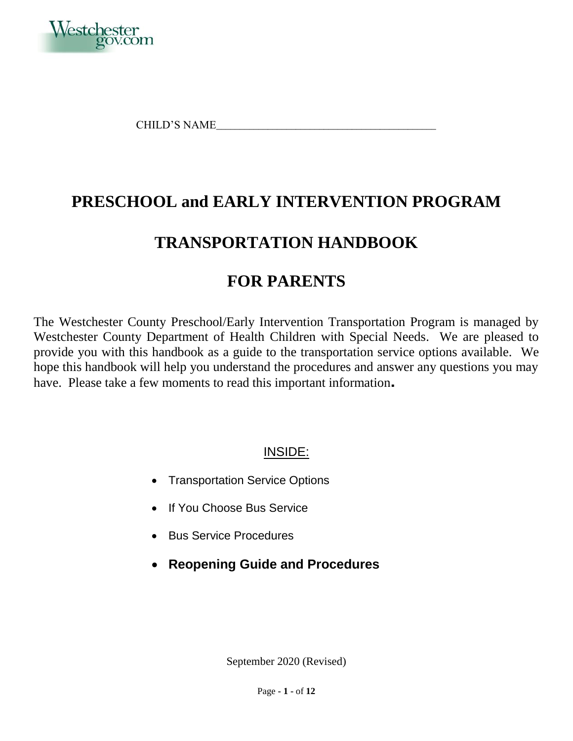

CHILD'S NAME\_\_\_\_\_\_\_\_\_\_\_\_\_\_\_\_\_\_\_\_\_\_\_\_\_\_\_\_\_\_\_\_\_\_\_\_\_\_\_\_\_\_\_\_\_\_\_

# **PRESCHOOL and EARLY INTERVENTION PROGRAM**

# **TRANSPORTATION HANDBOOK**

# **FOR PARENTS**

The Westchester County Preschool/Early Intervention Transportation Program is managed by Westchester County Department of Health Children with Special Needs. We are pleased to provide you with this handbook as a guide to the transportation service options available. We hope this handbook will help you understand the procedures and answer any questions you may have. Please take a few moments to read this important information.

## INSIDE:

- Transportation Service Options
- If You Choose Bus Service
- Bus Service Procedures
- **Reopening Guide and Procedures**

September 2020 (Revised)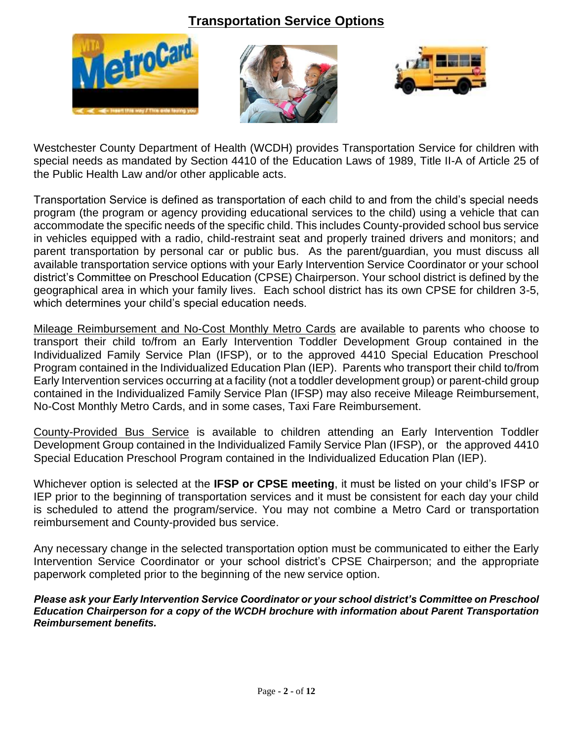## **Transportation Service Options**







Westchester County Department of Health (WCDH) provides Transportation Service for children with special needs as mandated by Section 4410 of the Education Laws of 1989, Title II-A of Article 25 of the Public Health Law and/or other applicable acts.

Transportation Service is defined as transportation of each child to and from the child's special needs program (the program or agency providing educational services to the child) using a vehicle that can accommodate the specific needs of the specific child. This includes County-provided school bus service in vehicles equipped with a radio, child-restraint seat and properly trained drivers and monitors; and parent transportation by personal car or public bus. As the parent/guardian, you must discuss all available transportation service options with your Early Intervention Service Coordinator or your school district's Committee on Preschool Education (CPSE) Chairperson. Your school district is defined by the geographical area in which your family lives. Each school district has its own CPSE for children 3-5, which determines your child's special education needs.

Mileage Reimbursement and No-Cost Monthly Metro Cards are available to parents who choose to transport their child to/from an Early Intervention Toddler Development Group contained in the Individualized Family Service Plan (IFSP), or to the approved 4410 Special Education Preschool Program contained in the Individualized Education Plan (IEP). Parents who transport their child to/from Early Intervention services occurring at a facility (not a toddler development group) or parent-child group contained in the Individualized Family Service Plan (IFSP) may also receive Mileage Reimbursement, No-Cost Monthly Metro Cards, and in some cases, Taxi Fare Reimbursement.

County-Provided Bus Service is available to children attending an Early Intervention Toddler Development Group contained in the Individualized Family Service Plan (IFSP), or the approved 4410 Special Education Preschool Program contained in the Individualized Education Plan (IEP).

Whichever option is selected at the **IFSP or CPSE meeting**, it must be listed on your child's IFSP or IEP prior to the beginning of transportation services and it must be consistent for each day your child is scheduled to attend the program/service. You may not combine a Metro Card or transportation reimbursement and County-provided bus service.

Any necessary change in the selected transportation option must be communicated to either the Early Intervention Service Coordinator or your school district's CPSE Chairperson; and the appropriate paperwork completed prior to the beginning of the new service option.

*Please ask your Early Intervention Service Coordinator or your school district's Committee on Preschool Education Chairperson for a copy of the WCDH brochure with information about Parent Transportation Reimbursement benefits.*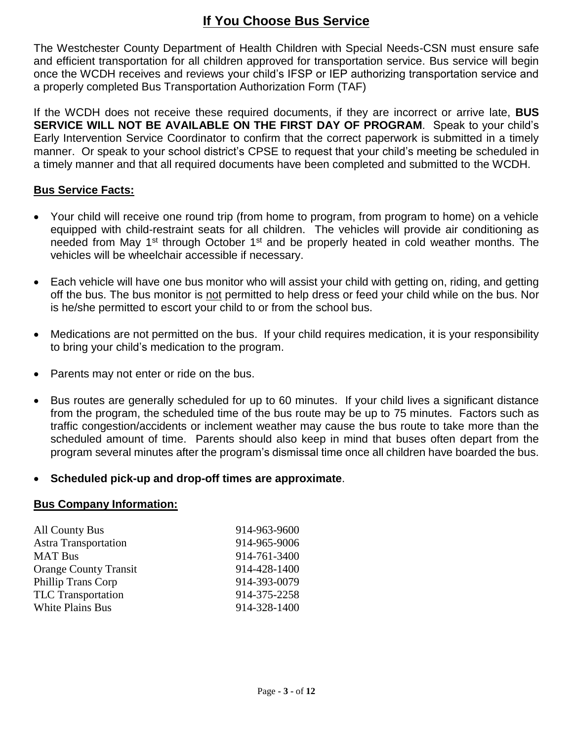# **If You Choose Bus Service**

The Westchester County Department of Health Children with Special Needs-CSN must ensure safe and efficient transportation for all children approved for transportation service. Bus service will begin once the WCDH receives and reviews your child's IFSP or IEP authorizing transportation service and a properly completed Bus Transportation Authorization Form (TAF)

If the WCDH does not receive these required documents, if they are incorrect or arrive late, **BUS SERVICE WILL NOT BE AVAILABLE ON THE FIRST DAY OF PROGRAM**. Speak to your child's Early Intervention Service Coordinator to confirm that the correct paperwork is submitted in a timely manner. Or speak to your school district's CPSE to request that your child's meeting be scheduled in a timely manner and that all required documents have been completed and submitted to the WCDH.

### **Bus Service Facts:**

- Your child will receive one round trip (from home to program, from program to home) on a vehicle equipped with child-restraint seats for all children. The vehicles will provide air conditioning as needed from May 1<sup>st</sup> through October 1<sup>st</sup> and be properly heated in cold weather months. The vehicles will be wheelchair accessible if necessary.
- Each vehicle will have one bus monitor who will assist your child with getting on, riding, and getting off the bus. The bus monitor is not permitted to help dress or feed your child while on the bus. Nor is he/she permitted to escort your child to or from the school bus.
- Medications are not permitted on the bus. If your child requires medication, it is your responsibility to bring your child's medication to the program.
- Parents may not enter or ride on the bus.
- Bus routes are generally scheduled for up to 60 minutes. If your child lives a significant distance from the program, the scheduled time of the bus route may be up to 75 minutes. Factors such as traffic congestion/accidents or inclement weather may cause the bus route to take more than the scheduled amount of time. Parents should also keep in mind that buses often depart from the program several minutes after the program's dismissal time once all children have boarded the bus.

### **Scheduled pick-up and drop-off times are approximate**.

#### **Bus Company Information:**

| 914-963-9600 |
|--------------|
| 914-965-9006 |
| 914-761-3400 |
| 914-428-1400 |
| 914-393-0079 |
| 914-375-2258 |
| 914-328-1400 |
|              |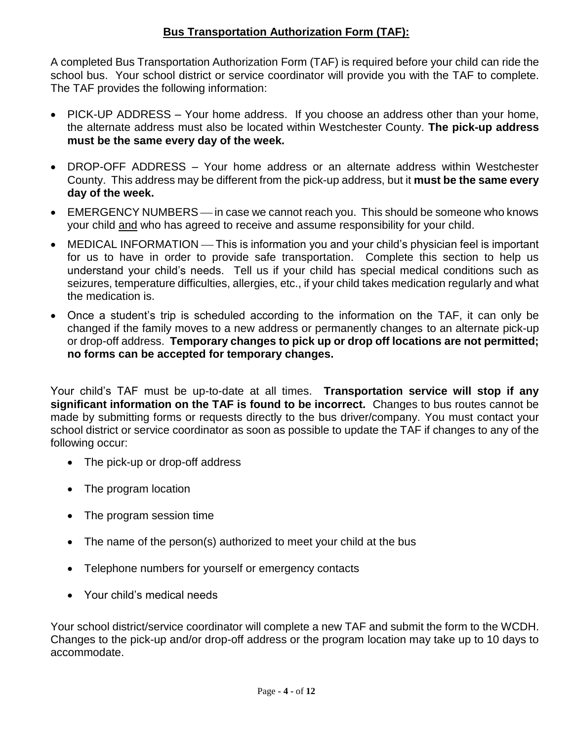### **Bus Transportation Authorization Form (TAF):**

A completed Bus Transportation Authorization Form (TAF) is required before your child can ride the school bus. Your school district or service coordinator will provide you with the TAF to complete. The TAF provides the following information:

- PICK-UP ADDRESS Your home address. If you choose an address other than your home, the alternate address must also be located within Westchester County. **The pick-up address must be the same every day of the week.**
- DROP-OFF ADDRESS Your home address or an alternate address within Westchester County. This address may be different from the pick-up address, but it **must be the same every day of the week.**
- EMERGENCY NUMBERS— in case we cannot reach you. This should be someone who knows your child and who has agreed to receive and assume responsibility for your child.
- MEDICAL INFORMATION This is information you and your child's physician feel is important for us to have in order to provide safe transportation. Complete this section to help us understand your child's needs. Tell us if your child has special medical conditions such as seizures, temperature difficulties, allergies, etc., if your child takes medication regularly and what the medication is.
- Once a student's trip is scheduled according to the information on the TAF, it can only be changed if the family moves to a new address or permanently changes to an alternate pick-up or drop-off address. **Temporary changes to pick up or drop off locations are not permitted; no forms can be accepted for temporary changes.**

Your child's TAF must be up-to-date at all times. **Transportation service will stop if any significant information on the TAF is found to be incorrect.** Changes to bus routes cannot be made by submitting forms or requests directly to the bus driver/company. You must contact your school district or service coordinator as soon as possible to update the TAF if changes to any of the following occur:

- The pick-up or drop-off address
- The program location
- The program session time
- The name of the person(s) authorized to meet your child at the bus
- Telephone numbers for yourself or emergency contacts
- Your child's medical needs

Your school district/service coordinator will complete a new TAF and submit the form to the WCDH. Changes to the pick-up and/or drop-off address or the program location may take up to 10 days to accommodate.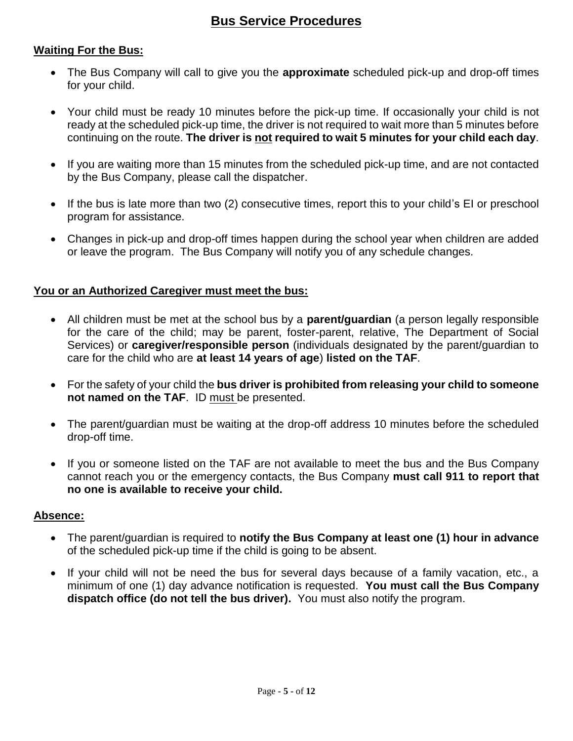## **Bus Service Procedures**

#### **Waiting For the Bus:**

- The Bus Company will call to give you the **approximate** scheduled pick-up and drop-off times for your child.
- Your child must be ready 10 minutes before the pick-up time. If occasionally your child is not ready at the scheduled pick-up time, the driver is not required to wait more than 5 minutes before continuing on the route. **The driver is not required to wait 5 minutes for your child each day**.
- If you are waiting more than 15 minutes from the scheduled pick-up time, and are not contacted by the Bus Company, please call the dispatcher.
- If the bus is late more than two (2) consecutive times, report this to your child's EI or preschool program for assistance.
- Changes in pick-up and drop-off times happen during the school year when children are added or leave the program. The Bus Company will notify you of any schedule changes.

#### **You or an Authorized Caregiver must meet the bus:**

- All children must be met at the school bus by a **parent/guardian** (a person legally responsible for the care of the child; may be parent, foster-parent, relative, The Department of Social Services) or **caregiver/responsible person** (individuals designated by the parent/guardian to care for the child who are **at least 14 years of age**) **listed on the TAF**.
- For the safety of your child the **bus driver is prohibited from releasing your child to someone not named on the TAF**. ID must be presented.
- The parent/guardian must be waiting at the drop-off address 10 minutes before the scheduled drop-off time.
- If you or someone listed on the TAF are not available to meet the bus and the Bus Company cannot reach you or the emergency contacts, the Bus Company **must call 911 to report that no one is available to receive your child.**

#### **Absence:**

- The parent/guardian is required to **notify the Bus Company at least one (1) hour in advance** of the scheduled pick-up time if the child is going to be absent.
- If your child will not be need the bus for several days because of a family vacation, etc., a minimum of one (1) day advance notification is requested. **You must call the Bus Company dispatch office (do not tell the bus driver).** You must also notify the program.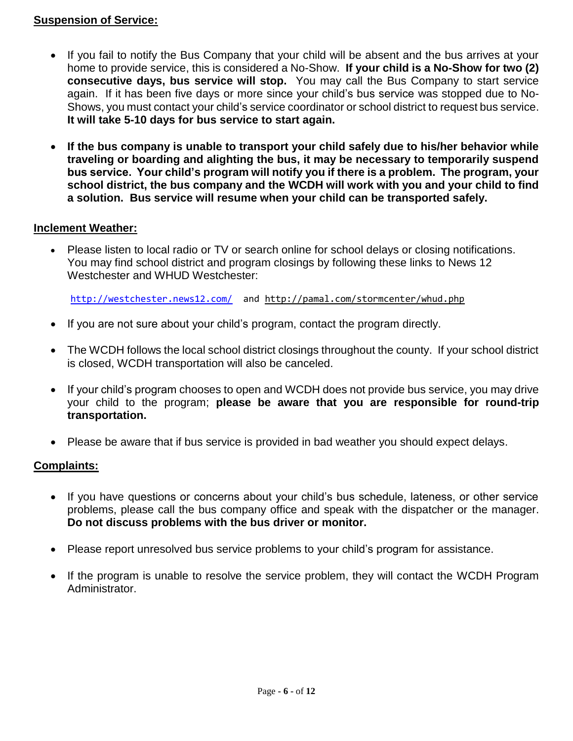#### **Suspension of Service:**

- If you fail to notify the Bus Company that your child will be absent and the bus arrives at your home to provide service, this is considered a No-Show. **If your child is a No-Show for two (2) consecutive days, bus service will stop.** You may call the Bus Company to start service again. If it has been five days or more since your child's bus service was stopped due to No-Shows, you must contact your child's service coordinator or school district to request bus service. **It will take 5-10 days for bus service to start again.**
- **If the bus company is unable to transport your child safely due to his/her behavior while traveling or boarding and alighting the bus, it may be necessary to temporarily suspend bus service. Your child's program will notify you if there is a problem. The program, your school district, the bus company and the WCDH will work with you and your child to find a solution. Bus service will resume when your child can be transported safely.**

#### **Inclement Weather:**

 Please listen to local radio or TV or search online for school delays or closing notifications. You may find school district and program closings by following these links to News 12 Westchester and WHUD Westchester:

<http://westchester.news12.com/> and http://pamal.com/stormcenter/whud.php

- If you are not sure about your child's program, contact the program directly.
- The WCDH follows the local school district closings throughout the county. If your school district is closed, WCDH transportation will also be canceled.
- If your child's program chooses to open and WCDH does not provide bus service, you may drive your child to the program; **please be aware that you are responsible for round-trip transportation.**
- Please be aware that if bus service is provided in bad weather you should expect delays.

### **Complaints:**

- If you have questions or concerns about your child's bus schedule, lateness, or other service problems, please call the bus company office and speak with the dispatcher or the manager. **Do not discuss problems with the bus driver or monitor.**
- Please report unresolved bus service problems to your child's program for assistance.
- If the program is unable to resolve the service problem, they will contact the WCDH Program Administrator.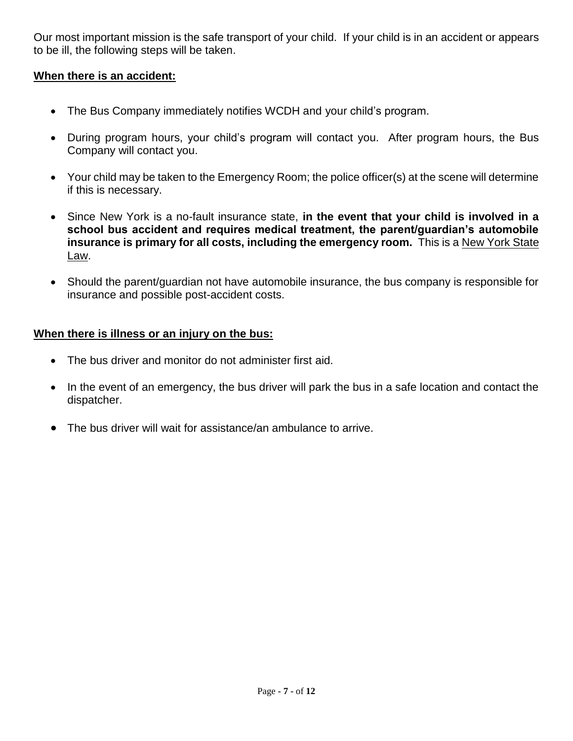Our most important mission is the safe transport of your child. If your child is in an accident or appears to be ill, the following steps will be taken.

### **When there is an accident:**

- The Bus Company immediately notifies WCDH and your child's program.
- During program hours, your child's program will contact you. After program hours, the Bus Company will contact you.
- Your child may be taken to the Emergency Room; the police officer(s) at the scene will determine if this is necessary.
- Since New York is a no-fault insurance state, **in the event that your child is involved in a school bus accident and requires medical treatment, the parent/guardian's automobile insurance is primary for all costs, including the emergency room.** This is a New York State Law.
- Should the parent/guardian not have automobile insurance, the bus company is responsible for insurance and possible post-accident costs.

#### **When there is illness or an injury on the bus:**

- The bus driver and monitor do not administer first aid.
- In the event of an emergency, the bus driver will park the bus in a safe location and contact the dispatcher.
- The bus driver will wait for assistance/an ambulance to arrive.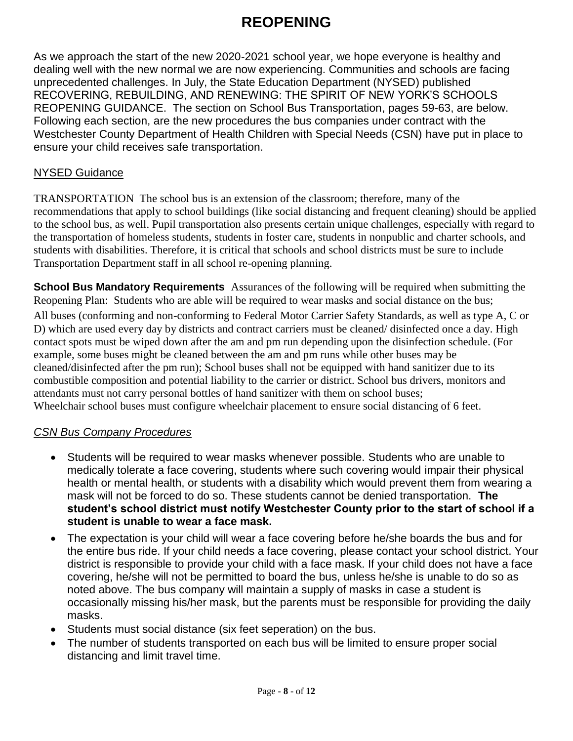# **REOPENING**

As we approach the start of the new 2020-2021 school year, we hope everyone is healthy and dealing well with the new normal we are now experiencing. Communities and schools are facing unprecedented challenges. In July, the State Education Department (NYSED) published RECOVERING, REBUILDING, AND RENEWING: THE SPIRIT OF NEW YORK'S SCHOOLS REOPENING GUIDANCE. The section on School Bus Transportation, pages 59-63, are below. Following each section, are the new procedures the bus companies under contract with the Westchester County Department of Health Children with Special Needs (CSN) have put in place to ensure your child receives safe transportation.

#### NYSED Guidance

TRANSPORTATION The school bus is an extension of the classroom; therefore, many of the recommendations that apply to school buildings (like social distancing and frequent cleaning) should be applied to the school bus, as well. Pupil transportation also presents certain unique challenges, especially with regard to the transportation of homeless students, students in foster care, students in nonpublic and charter schools, and students with disabilities. Therefore, it is critical that schools and school districts must be sure to include Transportation Department staff in all school re-opening planning.

**School Bus Mandatory Requirements** Assurances of the following will be required when submitting the Reopening Plan: Students who are able will be required to wear masks and social distance on the bus;

All buses (conforming and non-conforming to Federal Motor Carrier Safety Standards, as well as type A, C or D) which are used every day by districts and contract carriers must be cleaned/ disinfected once a day. High contact spots must be wiped down after the am and pm run depending upon the disinfection schedule. (For example, some buses might be cleaned between the am and pm runs while other buses may be cleaned/disinfected after the pm run); School buses shall not be equipped with hand sanitizer due to its combustible composition and potential liability to the carrier or district. School bus drivers, monitors and attendants must not carry personal bottles of hand sanitizer with them on school buses; Wheelchair school buses must configure wheelchair placement to ensure social distancing of 6 feet.

### *CSN Bus Company Procedures*

- Students will be required to wear masks whenever possible. Students who are unable to medically tolerate a face covering, students where such covering would impair their physical health or mental health, or students with a disability which would prevent them from wearing a mask will not be forced to do so. These students cannot be denied transportation. **The student's school district must notify Westchester County prior to the start of school if a student is unable to wear a face mask.**
- The expectation is your child will wear a face covering before he/she boards the bus and for the entire bus ride. If your child needs a face covering, please contact your school district. Your district is responsible to provide your child with a face mask. If your child does not have a face covering, he/she will not be permitted to board the bus, unless he/she is unable to do so as noted above. The bus company will maintain a supply of masks in case a student is occasionally missing his/her mask, but the parents must be responsible for providing the daily masks.
- Students must social distance (six feet seperation) on the bus.
- The number of students transported on each bus will be limited to ensure proper social distancing and limit travel time.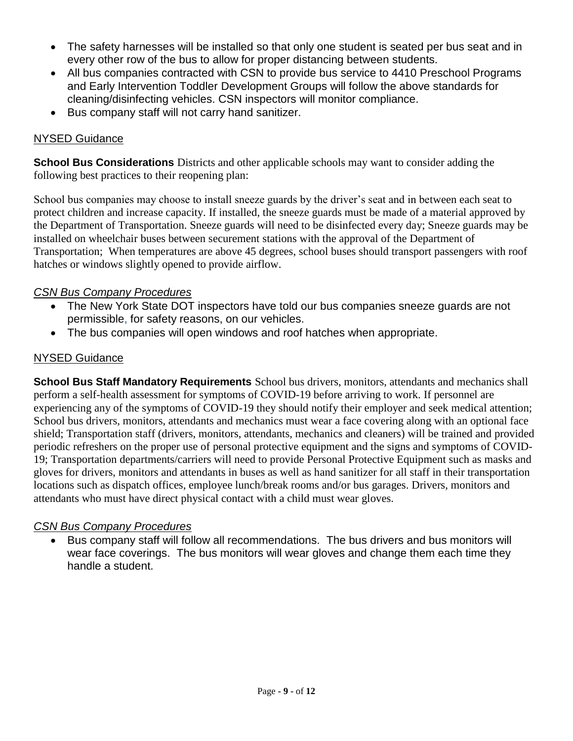- The safety harnesses will be installed so that only one student is seated per bus seat and in every other row of the bus to allow for proper distancing between students.
- All bus companies contracted with CSN to provide bus service to 4410 Preschool Programs and Early Intervention Toddler Development Groups will follow the above standards for cleaning/disinfecting vehicles. CSN inspectors will monitor compliance.
- Bus company staff will not carry hand sanitizer.

### NYSED Guidance

**School Bus Considerations** Districts and other applicable schools may want to consider adding the following best practices to their reopening plan:

School bus companies may choose to install sneeze guards by the driver's seat and in between each seat to protect children and increase capacity. If installed, the sneeze guards must be made of a material approved by the Department of Transportation. Sneeze guards will need to be disinfected every day; Sneeze guards may be installed on wheelchair buses between securement stations with the approval of the Department of Transportation; When temperatures are above 45 degrees, school buses should transport passengers with roof hatches or windows slightly opened to provide airflow.

### *CSN Bus Company Procedures*

- The New York State DOT inspectors have told our bus companies sneeze guards are not permissible, for safety reasons, on our vehicles.
- The bus companies will open windows and roof hatches when appropriate.

#### NYSED Guidance

**School Bus Staff Mandatory Requirements** School bus drivers, monitors, attendants and mechanics shall perform a self-health assessment for symptoms of COVID-19 before arriving to work. If personnel are experiencing any of the symptoms of COVID-19 they should notify their employer and seek medical attention; School bus drivers, monitors, attendants and mechanics must wear a face covering along with an optional face shield; Transportation staff (drivers, monitors, attendants, mechanics and cleaners) will be trained and provided periodic refreshers on the proper use of personal protective equipment and the signs and symptoms of COVID-19; Transportation departments/carriers will need to provide Personal Protective Equipment such as masks and gloves for drivers, monitors and attendants in buses as well as hand sanitizer for all staff in their transportation locations such as dispatch offices, employee lunch/break rooms and/or bus garages. Drivers, monitors and attendants who must have direct physical contact with a child must wear gloves.

#### *CSN Bus Company Procedures*

 Bus company staff will follow all recommendations. The bus drivers and bus monitors will wear face coverings. The bus monitors will wear gloves and change them each time they handle a student.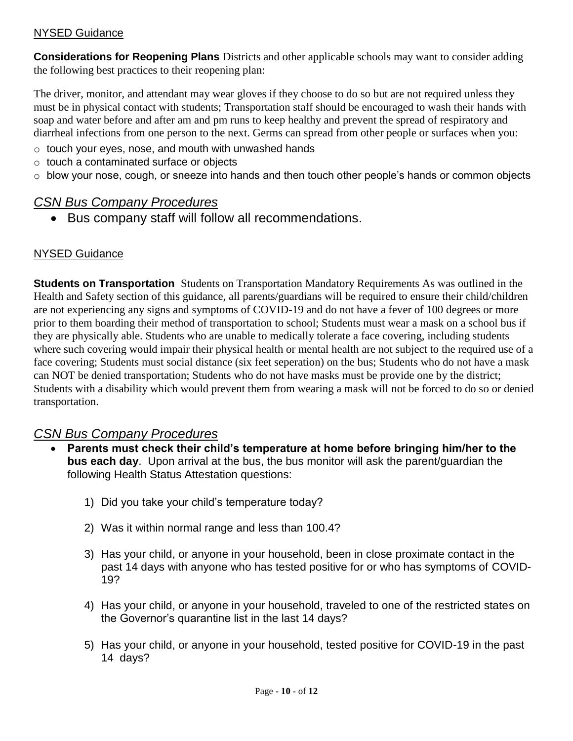### NYSED Guidance

**Considerations for Reopening Plans** Districts and other applicable schools may want to consider adding the following best practices to their reopening plan:

The driver, monitor, and attendant may wear gloves if they choose to do so but are not required unless they must be in physical contact with students; Transportation staff should be encouraged to wash their hands with soap and water before and after am and pm runs to keep healthy and prevent the spread of respiratory and diarrheal infections from one person to the next. Germs can spread from other people or surfaces when you:

- o touch your eyes, nose, and mouth with unwashed hands
- o touch a contaminated surface or objects
- $\circ$  blow your nose, cough, or sneeze into hands and then touch other people's hands or common objects

## *CSN Bus Company Procedures*

• Bus company staff will follow all recommendations.

### NYSED Guidance

**Students on Transportation** Students on Transportation Mandatory Requirements As was outlined in the Health and Safety section of this guidance, all parents/guardians will be required to ensure their child/children are not experiencing any signs and symptoms of COVID-19 and do not have a fever of 100 degrees or more prior to them boarding their method of transportation to school; Students must wear a mask on a school bus if they are physically able. Students who are unable to medically tolerate a face covering, including students where such covering would impair their physical health or mental health are not subject to the required use of a face covering; Students must social distance (six feet seperation) on the bus; Students who do not have a mask can NOT be denied transportation; Students who do not have masks must be provide one by the district; Students with a disability which would prevent them from wearing a mask will not be forced to do so or denied transportation.

### *CSN Bus Company Procedures*

- **Parents must check their child's temperature at home before bringing him/her to the bus each day**. Upon arrival at the bus, the bus monitor will ask the parent/guardian the following Health Status Attestation questions:
	- 1) Did you take your child's temperature today?
	- 2) Was it within normal range and less than 100.4?
	- 3) Has your child, or anyone in your household, been in close proximate contact in the past 14 days with anyone who has tested positive for or who has symptoms of COVID-19?
	- 4) Has your child, or anyone in your household, traveled to one of the restricted states on the Governor's quarantine list in the last 14 days?
	- 5) Has your child, or anyone in your household, tested positive for COVID-19 in the past 14 days?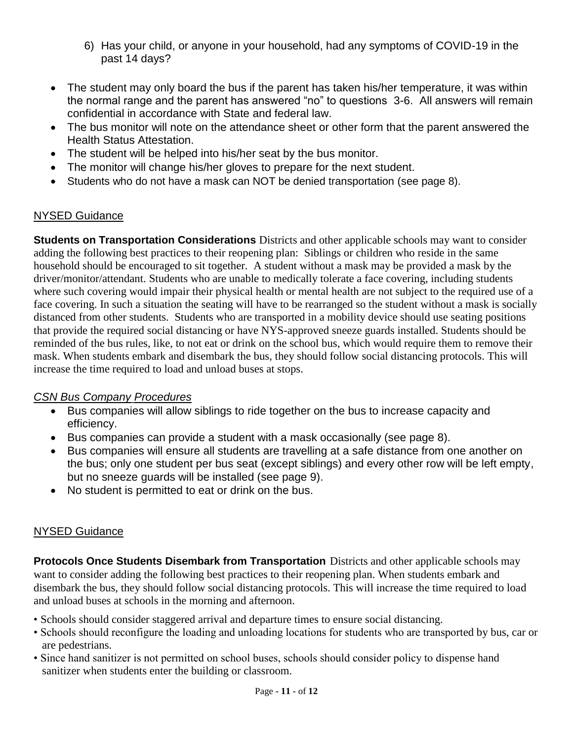- 6) Has your child, or anyone in your household, had any symptoms of COVID-19 in the past 14 days?
- The student may only board the bus if the parent has taken his/her temperature, it was within the normal range and the parent has answered "no" to questions 3-6. All answers will remain confidential in accordance with State and federal law.
- The bus monitor will note on the attendance sheet or other form that the parent answered the Health Status Attestation.
- The student will be helped into his/her seat by the bus monitor.
- The monitor will change his/her gloves to prepare for the next student.
- Students who do not have a mask can NOT be denied transportation (see page 8).

### NYSED Guidance

**Students on Transportation Considerations** Districts and other applicable schools may want to consider adding the following best practices to their reopening plan: Siblings or children who reside in the same household should be encouraged to sit together. A student without a mask may be provided a mask by the driver/monitor/attendant. Students who are unable to medically tolerate a face covering, including students where such covering would impair their physical health or mental health are not subject to the required use of a face covering. In such a situation the seating will have to be rearranged so the student without a mask is socially distanced from other students. Students who are transported in a mobility device should use seating positions that provide the required social distancing or have NYS-approved sneeze guards installed. Students should be reminded of the bus rules, like, to not eat or drink on the school bus, which would require them to remove their mask. When students embark and disembark the bus, they should follow social distancing protocols. This will increase the time required to load and unload buses at stops.

### *CSN Bus Company Procedures*

- Bus companies will allow siblings to ride together on the bus to increase capacity and efficiency.
- Bus companies can provide a student with a mask occasionally (see page 8).
- Bus companies will ensure all students are travelling at a safe distance from one another on the bus; only one student per bus seat (except siblings) and every other row will be left empty, but no sneeze guards will be installed (see page 9).
- No student is permitted to eat or drink on the bus.

## NYSED Guidance

**Protocols Once Students Disembark from Transportation** Districts and other applicable schools may want to consider adding the following best practices to their reopening plan. When students embark and disembark the bus, they should follow social distancing protocols. This will increase the time required to load and unload buses at schools in the morning and afternoon.

- Schools should consider staggered arrival and departure times to ensure social distancing.
- Schools should reconfigure the loading and unloading locations for students who are transported by bus, car or are pedestrians.
- Since hand sanitizer is not permitted on school buses, schools should consider policy to dispense hand sanitizer when students enter the building or classroom.